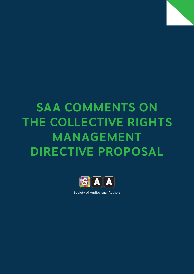# **SAA Comments on the Collective Rights Management Directive proposal**



Society of Audiovisual Authors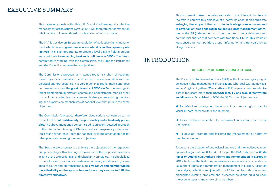# EXECUTIVE SUMMARY

This paper only deals with titles I, II, IV and V addressing all collective management organisations (CMOs). SAA will therefore not comment on title III on the online multi-territorial licensing of musical works.

The SAA is positive on European regulation of collective rights management which pursues **governance, accountability and transparency objectives**. This is an opportunity to create a level playing field in Europe and contribute to **enhancing trust and confidence in CMOs**. The SAA is committed to working with the Commission, the European Parliament and the Council to achieve these objectives.

The Commission's proposal as it stands today falls short of reaching these objectives: drafted in the absence of any consultation with audiovisual authors' societies, it is very much inspired by music and does not take into account the **great diversity of CMOs in Europe** serving different rightholders in different sectors and administering models other than voluntary collective management. It also ignores existing monitoring and supervision mechanisms at national level that pursue the same objectives.

The Commission's proposal therefore raises serious concern as to the respect of the **cultural diversity, proportionality and subsidiarity principles**. The above-mentioned concerns add to an overly detailed approach to the internal functioning of CMOs as well as transparency criteria and tools that neither leave room for national level implementation nor for other practices pursuing the same objectives.

The SAA therefore suggests clarifying the objectives of the regulation and proceeding with a thorough examination of the proposed provisions in light of the proportionality and subsidiarity principles. This should lead to more focused provisions, in particular on the organisation and governance of CMOs and on transparency to **give CMOs and Member States more flexibility on the approaches and tools they can use to fulfil the directive's objectives.**

This document makes concrete proposals on the different chapters of the text to achieve this objective of a better balance. It also suggests **enlarging the scope of the text to include obligations on users and to cover all entities engaged in collective rights management activities** in the EU (independently of their country of establishment) and commercial entities that compete with traditional CMOs. This would at least ensure fair competition, proper information and transparency to all rightholders.

# INTRODUCTION

#### **The Society of Audiovisual Authors**

The Society of Audiovisual Authors (SAA) is the European grouping of collective rights management organisations who deal with audiovisual authors' rights. It gathers **25 societies** in 18 European countries who together represent more than **120,000 film, TV and web screenwriters and directors**. Established in 2010, the SAA's main objectives are:

 $\rightarrow$  To defend and strengthen the economic and moral rights of audio visual authors (screenwriters and directors);

 $\rightarrow$  To secure fair remuneration for audiovisual authors for every use of their works;

 $\rightarrow$  To develop, promote and facilitate the management of rights by member societies.

To present the situation of audiovisual authors and their collective management organisations (CMOs) in Europe, the SAA published a **White Paper on Audiovisual Authors' Rights and Remuneration in Europe** in 2011 which was the first comprehensive survey ever made on audiovisual authors' rights and remuneration management in Europe. Based on the analysis, reflection and joint efforts of SAA members, this document highlighted existing problems and presented solutions building upon the experience and know-how of its members.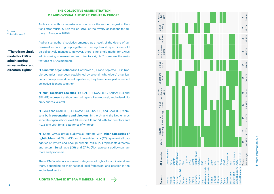## **THE COLLECTIVE ADMINISTRATION** OF AUDIOVISUAL AUTHORS' RIGHTS IN EUROPE.

 $(1)$  CISAC.<br> $(2)$ See table page 21

Audiovisual authors' repertoire accounts for the second largest collec tions after music: € 442 million, 9.6% of the royalty collections for au thors in Europe in 2010 $\scriptstyle\rm (1)}$ .

**" There is no single model for CMOs administering screenwriters' and directors' rights"**

Audiovisual authors' societies emerged as a result of the desire of au diovisual authors to group together so their rights and repertoires could be collectively managed. However, there is no single model for CMOs administering screenwriters and directors rights<sup>(2)</sup>. Here are the main features of SAA's members:

 **Umbrella organisations** like Copyswede (SE) and Kopiosto (FI) in Nor dic countries have been established by several rightholders' organisa tions who represent different repertoires; they have developed extended collective licences together;

 **Multi-repertoire societies** like SIAE (IT), SGAE (ES), SABAM (BE) and SPA (PT) represent authors from all repertoires (musical, audiovisual, lit erary and visual arts);

→ SACD and Scam (FR/BE), DAMA (ES), SSA (CH) and EAAL (EE) represent both **screenwriters and directors**. In the UK and the Netherlands separate organisations exist (Directors UK and VEVAM for directors and ALCS and LIRA for all categories of writers);

Some CMOs group audiovisual authors with other categories of **rightholders**: VG Wort (DE) and Literar-Mechana (AT) represent all cat egories of writers and book publishers; VDFS (AT) represents directors and actors; Suissimage (CH) and ZAPA (PL) represent audiovisual au thors and producers.

These CMOs administer several categories of rights for audiovisual au thors, depending on their national legal framework and position in the audiovisual sector.

**RIGHTS MANAGED BY SAA MEMBERS IN 2011** 



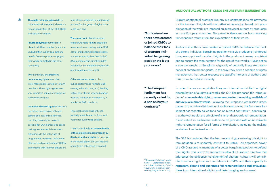#### **Audiovisual authors' CMOs ensure fair remuneration**

#### $\ast$

collectively administered all over Europe in application of the 1993 Cable and Satellite Directive;

**The cable retransmission right** is

**Private copying** schemes are in place in all SAA countries (not in the UK but British audiovisual authors benefit from the private copying of their works collected in the other countries);

Whether by law or agreement. **broadcasting rights** are collectively managed by a majority of SAA members. These rights generate a very important source of income for audiovisual authors;

**Online/on-demand rights** cover both the online transmission of broadcasting and new online services. Handling these rights makes it possible for SAA members to adapt their agreements with broadcasters to include the online use of programmes. However, despite the efforts of audiovisual authors' CMOs, agreements with internet players are

rare. Money collected for audiovisual authors for this group of rights is currently very low;

**The rental right** which is subject to an unwaivable right to equitable remuneration according to the 1992 Rental and Lending Rights Directive is administered by less than half of SAA members (the Directive didn't provide for the mandatory collective administration of this right);

**Other secondary uses** such as public performance rights (broadcasting in hotels, bars, etc.), lending rights, educational uses and archive uses are collectively managed by a number of SAA members;

Theatrical exhibition is only collectively administered in Spain and Poland for audiovisual authors.

There is absolutely **no harmonisation of the collective management of audiovisual authors' rights**. In contrast, in the music sector the vast majority of rights are collectively managed.

**"Audiovisual authors have created or joined CMOs to balance their lack of a strong individual bargaining position vis-à-vis producers"**

**" The European Parliament has recently called for a ban on buyout contracts"**

Current contractual practices like buy-out contracts (one-off payments for the transfer of rights with no further remuneration based on the exploitation of the work) are imposed on audiovisual authors by producers in many European countries. This prevents these authors from receiving fair economic returns from the exploitation of their works.

Audiovisual authors have created or joined CMOs to balance their lack of a strong individual bargaining position vis-à-vis producers (reinforced by a presumption of transfer of rights to the producer in many countries) and to ensure fair remuneration for the use of their works. CMOs act as a counter weight to the global oligopoly of vertically integrated transnational entertainment giants. In this way, they offer a scheme of rights management that better respects the specific interests of authors and thus promote cultural diversity.

In order to create an equitable European internal market for the digital dissemination of audiovisual works, the SAA has proposed the introduction of an **unwaivable right to remuneration for the making available of audiovisual authors' works**. Following the European Commission Green paper on the online distribution of audiovisual works, the European Parliament has recently called for a ban on buyout contracts (3), confirming that they contradict the principle of a fair and proportional remuneration. It also called for audiovisual authors to be provided with an unwaivable right to remuneration for all forms of exploitation, including the making available of audiovisual works.

The SAA is convinced that the best means of guaranteeing this right to remuneration is to uniformly entrust it to CMOs. The organised power of a CMO assures its members of a better bargaining position to defend their rights. This is why we support the idea of a European directive that addresses the collective management of authors' rights: it will contribute to enhancing trust and confidence in CMOs and their capacity to **represent, defend and guarantee fair remuneration to audiovisual authors** in an international, digital and fast-changing environment.

(3)European Parliament resolution of 11 September 2012 on the online distribution of audiovisual works in the European Union (paragraphs 44 to 50).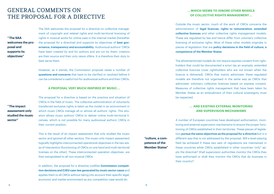# General comments on the proposal for a directive

**" The SAA welcomes the proposal and supports its objectives"**

The SAA welcomes the proposal for a directive on collective management of copyright and related rights and multi-territorial licensing of rights in musical works for online uses in the internal market (hereafter the proposal for a directive) and supports its objectives of **best governance, transparency and accountability**. Audiovisual authors' CMOs have been created by and for authors and are run by them: creators are their source and their only raison d'être. It is therefore their duty to best serve them.

However, as it stands, the Commission proposal raises a number of **questions and concerns** that have to be clarified or resolved before it can be considered a useful tool for audiovisual authors and their CMOs.

#### **A proposal very much inspired by music ...**

**" The impact assessment only studied the music sector"**

The proposal for a directive is based on the practice and situation of CMOs in the field of music. The collective administration of voluntarily transferred exclusive rights is taken as the model in an environment in which music CMOs manage all or almost all authors' rights. This situation allows music authors' CMOs to deliver online multi-territorial licenses, which is not possible for many audiovisual authors' CMOs in their current position.

This is the result of an impact assessment that only studied the music sector and ignored all other sectors. The music-only impact assessment logically highlights interconnected operational objectives in the two areas of intervention (functioning of CMOs on one hand and multi-territorial licenses on the other). These interconnected operation objectives are then extrapolated to all non-musical CMOs.

In addition, the proposal for a directive codifies **Commission competition decisions and CJEU case-law generated by music sector cases** and applies them to all CMOs without taking into account their specific legal, economic and market environment as any competition case would do.

## **... Which seems to ignore other models of collective rights management ...**

Outside the music sector, much of the work of CMOs concerns the administration of **legal licences, rights to remuneration, extended collective licences** and other collective rights management models. These are regulated by law and hence differ from voluntary collective licensing of exclusive rights. Most of these other models originate in pieces of legislation that are **policy decisions in the field of culture, a competence of the Member States**.

The aforementioned models do not require express consent from rightholders that could be documented a priori (as an example, extended collective licences cover rightholders who are not known when the licence is delivered). CMOs that mainly administer these regulated models are therefore not organised in the same way as CMOs that administer voluntary collective licences based on express consent. Measures of collective rights management that have been taken by Member States as an embodiment of their cultural sovereignty must be respected.

## **...  And existing external monitoring and supervision mechanisms**

A number of European countries have developed authorisation, monitoring and external supervision mechanisms to ensure the proper functioning of CMOs established in their territories. These pieces of legislation **pursue the same objectives as the proposal for a directive** but in a different way that is not addressed by the proposal. Will a level-playing field be achieved if these two sets of regulations are maintained in these countries while CMOs established in other countries "only" apply the directive? Shall supervision authorities monitor the CMOs they have authorised or shall they monitor the CMOs that do business in their country?

**"culture, a competence of the Member States"**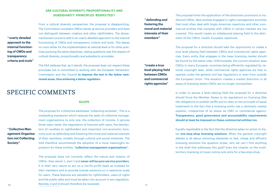# **Are cultural diversity, proportionality and subsidiarity principles respected ?**

**" overly detailed approach to the internal functioning of CMOs and transparency criteria and tools"**

**" Collective Management Organisation not Collecting** 

**Society"**

From a cultural diversity perspective, the proposal is disappointing. The Commission considers CMOs merely as service providers and does not distinguish between creators and other rightholders. The abovementioned concerns add to an overly detailed approach to the internal functioning of CMOs and transparency criteria and tools. This leaves no room either for the implementation at national level or for other practices pursuing the same objectives, raising questions over the respect of cultural diversity, proportionality and subsidiarity principles.

The SAA believes that, as it stands, the proposal does not respect these principles but is committed to working with the European Parliament, Commission and the Council **to improve the text in the below mentioned areas, thus achieving a better regulation.**

# Specific comments

#### **SCOPE**

The proposal for a Directive addresses "collecting societies". This is a misleading expression which reduces the tasks of collective management organisations to only one: the collection of income. It ignores three major tasks: the negotiation of licences with users, the distribution of royalties to rightholders and important non-economic functions such as defending and fostering the moral and material interests of their members, notably through cultural and social initiatives. The SAA therefore recommends the adoption of a more meaningful expression for these entities: **"collective management organisations".**

10 11 Recitals 3 and 4 should therefore be reviewed. The proposal does not correctly reflect the nature and mission of CMOs : they weren´t, aren´t and **never will be pure service providers**. It is their very nature to act on a not-for-profit basis as trustees for their members and to provide license solutions on a repertoire scale for users. These features are valuable for rightholders, users of rights and the public alike and must be taken into account in any regulation.

**" defending and fostering the moral and material interests of their members"**

The proposal limits the application of the directive's provisions to traditional CMOs. New entities engaged in rights management activities that most often deal with Anglo-American repertoire and other commercial entities that compete with CMOs in certain markets are not covered. This would create an imbalanced playing field to the detriment of the CMOs' mostly European repertoire.

The proposal for a directive should take the opportunity to create a true level playing field between CMOs and commercial rights agencies. Every entity that engages in the mass licensing market should be bound by the same rules. Unfortunately, the current situation sees CMOs in many European countries being efficiently regulated by national copyright laws, while commercial rights agencies are free to operate under the general civil law regulations or even from outside the European Union. This situation creates a market distortion in all areas of licensing where CMOs are no longer monopolists.

In order to secure a level playing field the proposal for a directive should force the Member States to tie regulations on licensing (like the obligations to publish tariffs and to obey to the principle of equal treatment) to the fact that a licensing entity has a dominant market position, irrespective of its status as CMO or commercial agency. **Transparency, good governance and accountability requirements should at least be imposed on these commercial entities too**.

Equally regrettable is the fact that the directive takes no action to foster **one-stop-shop licensing solutions**. When the general copyright debate is all about removing obstacles to fast, cheap and efficient licensing solutions the question arises, why we can`t find anything in the draft that addresses this goal? Even the chapter on the multiterritory licensing of music online only aims for a few-stop-shop.

**"create a true level playing field between CMOs and commercial rights agencies"**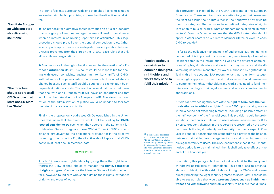In order to facilitate European wide one-stop-shop licensing solutions we see two simple, but promising approaches the directive could aim for:

# **" facilitate European wide one-stopshop licensing solutions"**

**O** The proposal for a directive should introduce an official procedure that any group of entities engaged in mass licensing could enter when an interest in combining repertoires is articulated. This legal procedure should prevail over the general competition rules. Otherwise, any attempt to create a one-stop-shop via cooperation between CMOs is prevented from the start by the "CISAC" case ruling that only allows bilateral negotiations.

 Another move in the right direction would be the creation of a **European Arbitration Court.** This court would be responsible for dealing with users' complaints against multi-territory tariffs of CMOs. Without such a European solution, Europe-wide tariffs do not stand a chance because such a tariff would be subject to examination by independent national courts. The result of several national court cases that deal with one European tariff will never be congruent and that would be the natural end of a European tariff. Therefore, harmonization of the administration of justice would be needed to facilitate multi-territory licenses and tariffs.

Finally, the proposal only addresses CMOs established in the Union. Does this mean that the directive would not be binding for **CMOs located outside the EU** even when they operate in the EU, or is it left to Member States to regulate these CMOs? To avoid CMOs or subsidiaries circumventing the obligations provided for in the directive by setting up outside the EU, the directive should apply to all CMOs active in at least one EU Member State.

#### **Membership**

Article 5.2 empowers rightholders by giving them the right to authorise the CMO of their choice to manage the **rights, categories of rights or types of works** for the Member States of their choice. It fails, however, to indicate who should define these rights, categories of rights and types of works.

This provision is inspired by the GEMA decisions of the European Commission. These require music societies to give their members the right to assign their rights either in their entirety or by dividing them by category. The decisions have defined categories of rights in relation to musical works. What about categories of rights in other sectors? Does the Directive assume that the GEMA categories should apply in other sectors or is it left to Member States or even to each CMO to decide?

**"societies should remain free to combine the rights, rightholders and works they need to fulfil their mission"**

(4) In the chapter dedicated to collective management in "European Copyright Law, A Commentary" edited by Michel M. Walter and Silke Von Lewinski, Anke Schierholz considers that the accepted standard is one calendar year.

As far as the collective management of audiovisual authors' rights is concerned, it is important to consider the great diversity of societies (as highlighted in the introduction) as well as the different combinations of rights, rightholders and works that they manage and the diverse origins of their mandates (by law or authorised by rightholders). Taking this into account, SAA recommends that no uniform categories of rights apply in this sector and that societies should remain free to combine the rights, rightholders and works they need to fulfil their mission according to their legal, cultural and economic environments and traditions.

Article 5.3 provides rightholders with the **right to terminate their authorisation or to withdraw rights from a CMO** upon serving notice within a period not exceeding 6 months, including a possible effect at the half-way point of the financial year. This provision could be problematic, in particular in relation to users whose licences are for 3 to 5 years. Frequent changes in the repertoire represented by the CMO can breach the legal certainty and security that users expect. One year is generally considered the standard<sup>(4)</sup> as it provides the balance between maintaining low management costs and providing reasonable legal certainty to users. The SAA recommends that, if the 6 month notice period is to be maintained, then it shall only take effect at the end of the financial year.

In addition, this paragraph does not set any limit to the entry and withdrawal possibilities of rightholders. This could lead to potential abuses of this right with a risk of destabilizing the CMOs and consequently breaking the legal security granted to users. CMOs should be able to set up rules that would **prevent abuse, such as limiting entrance and withdrawal** to and from a society to no more than 3 times.

**should apply to all CMOs active in at least one EU Member State"**

**" the directive** 

 $12$  and  $13$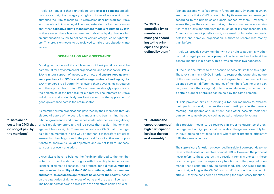Article 5.6 requests that rightholders give **express consent** specifically for each right or category of rights or types of works which they authorise the CMO to manage. This provision does not work for CMOs who mainly administer legal licences, extended collective licences and other **collective rights management models regulated by law**: in these cases, there is no express authorisation by rightholders but an authorisation by law to collect for certain categories of rightholders. This provision needs to be reviewed to take these situations into account.

### **Organisation and governance**

Good governance and the achievement of best practice should be paramount for any commercial organisation, and no less so for CMOs. SAA is in total support of moves to promote and **ensure good governance practices for CMOs and other organisations handling rights.** SAA members are all currently reviewing their governance structures with these principles in mind. We are therefore strongly supportive of the objectives of the proposal for a directive. The interests of CMOs individually and collectively are best served by the application of good governance across the entire sector.

**" There are no costs in a CMO that do not get paid by the members "**

As member-driven organisations governed by their members through elected directors of the board it is important to bear in mind that additional governance and compliance costs, whether via a regulatory or self-regulatory approach, will be costs that result in higher management fees for rights. There are no costs in a CMO that do not get paid by the members in one way or another. It is therefore critical to ensure that the obligations in the proposal for a directive are proportionate to achieve its (valid) objectives and do not lead to unnecessary costs or over-regulation.

14 15 The SAA understands and agrees with the objectives behind articles 7 CMOs always have to balance the flexibility afforded to the member in terms of membership and rights with the ability to issue blanket licences of rights to licensees. The proposal for a directive **must not compromise the ability of the CMO to continue, with its members and board, to decide the appropriate balance for the society**, based on the categories of rights, types of works and the uses it licenses.

**" a CMO is controlled by its members and managed according to the principles and goals defined by them "** (general assembly), 8 (supervisory function) and 9 (managers) which are to ensure that a CMO is controlled by its members and managed according to the principles and goals defined by them. However, it seems that, as they stand and taking into account some uncertainties, these provisions enter into too much detail in some respects. The Commission cannot possibly want, as a result of imposing an overly detailed and complex organisation, authors to receive less money than before.

Article 7.8 provides every member with the right to appoint any other natural or legal person as a **proxy** holder to attend and vote at the general meeting in his name. This provision raises two concerns:

 $\rightarrow$  the first one relates to the absence of possible limits to this right. These exist in many CMOs in order to respect the ownership nature of the membership (e.g. no proxy can be given to a non-member), the balance between different categories of members (e.g. no proxy can be given to another category) or to prevent abuse (e.g. no more than a certain number of proxies can be held by the same person);

 $\rightarrow$  This provision aims at providing a tool for members to exercise their participation right when they can't participate in the general meeting, but janores and, in effect, bans other possible tools that pursue the same objective such as postal or electronic voting.

**" Guarantee the encouragement of high participation levels at the general assembly "**

This provision needs to be reviewed in order to guarantee the encouragement of high participation levels at the general assembly but without imposing any specific tool where other practices efficiently fulfil the same objective.

The **supervisory function** as described in article 8 corresponds to the tasks of the boards of directors of most CMOs. However, the proposal never refers to these boards. As a result, it remains unclear if these boards can perform the supervisory function or if the proposal commands that a separate body be established. The SAA would recommend that, as long as the CMOs' boards fulfil the conditions set out in article 8, they be considered as exercising the supervisory function.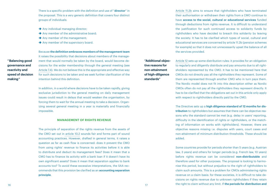There is a specific problem with the definition and use of "**director**" in the proposal. This is a very generic definition that covers four distinct groups of individuals:

- Any individual managing director;
- Any member of the administrative board:
- Any member of the management;
- Any member of the supervisory board.

Because **the definition embraces members of the management team** it raises the possibility that decisions about members of the management that would normally be taken by the board, would become decisions for the wider membership through the general meeting (see Article 7.4). We do not believe this is the appropriate and effective way for such decisions to be taken and we seek further clarification of the intention behind this definition.

In addition, in a world where decisions have to be taken rapidly, giving exclusive jurisdiction to the general meeting on daily management issues could result in delays that would weaken the organisation, by forcing them to wait for the annual meeting to take a decision. Organizing several general meeting in a year is materially and financially impossible.

#### **Management of rights revenue**

The principle of separation of the rights revenue from the assets of the CMO set out in article 10.2 sounds fair and forms part of sound accounting practices. However, drafted in general terms, it raises a question as far as cash flow is concerned: does it prevent the CMO from using rights' revenue to finance its activities before it is able to distribute and deduct its management fees? Does it mean that a CMO has to finance its activity with a bank loan if it doesn't have its own significant assets? Does it mean that separation applies to bank accounts too? To avoid these excessive interpretations, the SAA recommends that this provision be clarified as an **accounting separation principle**.

Article 11.2b aims to ensure that rightholders who have terminated their authorisation or withdrawn their rights from a CMO continue to have **access to the social, cultural or educational services** funded through deductions from rights revenue. It is difficult to understand the justification for such continued access to solidarity funds by rightholders who have decided to breach this solidarity by leaving the society. It has to be clarified which types of social, cultural and educational services are concerned by article 11.2b (pension schemes for example) so that it does not unnecessarily upset the balance of all the services provided.

**"Additional objective reasons for non-attainment of high-diligence standards"**

Article 12 sets up some distribution rules: it provides for an obligation to regularly and diligently distribute and pay amounts due to all rightsholders represented by the CMO. It has to be mentioned here that CMOs do not directly pay all the rightholders they represent. Some of them are represented through another CMO who in turn pays them. The Nordic model does not fit into this description either as Nordic CMOs often do not pay all the rightholders they represent directly. It has to be clarified that the obligations set out in this article only apply with respect to rightholders directly paid by the CMO.

The Directive sets up a **high diligence standard of 12 months for distribution** to rightholders but assumes that there can be objective reasons why the standard cannot be met (e.g. delay in users' reporting, difficulty in the identification of rights or rightholders, or the matching of information on works with rightholders). However, there are objective reasons missing i.e. disputes with users, court cases and non-attainment of minimum distribution thresholds. These should be added.

Some countries provide for periods shorter than 5 years (e.g. Austrian law, 3 years) and others for longer periods (e.g. French law, 10 years) before rights revenue can be considered **non-distributable** and therefore used for other purposes. The proposal is looking to harmonise this period, but without prejudice to the right of rightholders to claim such amounts. This is a problem for CMOs administering rights revenue on a claim basis: for these societies, it is difficult to take decisions on rights revenue due to unknown rightholders if they retain the right to claim without any limit. If **the periods for distribution and** 

**" Balancing good governance and reactivity and speed of decision making "**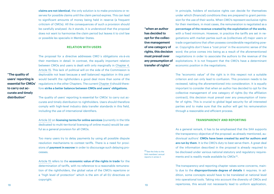**claims are not identical**, the only solution is to make provisions or reserves for possible claims until the claim period expires. This can lead to significant amounts of money being held in reserve (a frequent criticism of CMOs). All the consequences of such a provision should be carefully analysed. As it stands, it is understood that the proposal does not want to harmonise the claim period but leaves it to civil law or possible lex specialis in Member States.

## **Relation with users**

The proposal for a directive addresses CMO´s obligations vis-à-vis their members in detail. In contrast, the equally important relation between CMOs and users is dealt with only marginally in Chapter 4, Article 15. This lack of political will on the side of the Commission is deplorable not least because a well balanced regulation in this part would benefit the rightholders a good deal more than some of the regulations in the other Chapters. The current Chapter 4 should therefore **strike a better balance between CMOs and users' obligations.**

**"The quality of users' reporting is essential for CMOs' to carry out accurate and timely distribution"**

The quality of users' reporting is essential for CMOs' to carry out accurate and timely distribution to rightholders. Users should therefore comply with high-level industry data transfer standards in this field, including the use of international identifiers.

Article 32 on **licensing terms for online services** (currently in the title dedicated to multi-territorial licensing of online music) would be useful as a general provision for all CMOs.

Too many users try to delay payments by using all possible dispute resolution mechanisms to contest tariffs. There is a need for provisions of **payment in escrow** in order to discourage such delaying processes.

Article 15 refers to the **economic value of the rights in trade** for the determination of tariffs, with no reference to a reasonable remuneration of the rightholders, the global value of the CMO's repertoire or a "high level of protection" which is the aim of all EU directives on copyright.

In principle, holders of exclusive rights can decide for themselves under which (financial) conditions they are prepared to grant permission for the use of their works. When CMO's represent exclusive rights for their members, in most cases, the remuneration is negotiated as a

**"when an author has decided to opt for the collective management of one category of rights, this decision must prevail over any presumption of transfer of rights"**

**percentage of the revenue created by the exploitation of the works**, with a fixed minimum. However, in practice the tariffs are set in negotiations with market parties such as (collectives of) major users or trade organisations that often possess considerable negotiating power. Copyrights don't have a "cost price" in the economic sense of the word; the price comes into being as a result of the aforementioned negotiations in order to associate the authors to the revenue of the exploitations. It is not frequent that the CMO's have a determinant economic position in the negotiations.

The "economic value" of the right is in this respect not a suitable criterion and can only lead to confusion. This provision needs to be reviewed, taking the aforementioned into consideration. It is equally important to consider that when an author has decided to opt for the collective management of one category of rights (by the affiliation contract), this decision must prevail over any presumption of transfer of rights. This is crucial to global legal security for all interested parties and to make sure that the author will get his remuneration through a reasonable and efficient process.

## **Transparency and reporting**

As a general remark, it has to be emphasised that the SAA supports the transparency objective of the proposal: as already mentioned, audiovisual authors' **CMOs have been created by and for authors and are run by them.** It is the CMO's duty to best serve them. A great deal of the information described in the proposal is already required to be disclosed under various national statutory and regulatory requirements and is readily made available by CMOs (5).

The transparency and reporting chapter raises some concerns, mainly due to the **disproportionate degree of details** it requires. In addition, some concepts would have to be translated at national level into operational tools. Taking into account the diversity of CMOs and repertoires, this would not necessarily lead to uniform application,

(5) See the links to the SAA members' annual reports in annex 2.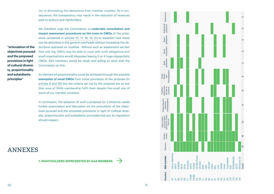nor in diminishing the deductions from member royalties. As a con sequence, the transparency may result in the reduction of revenues paid to authors and rightholders.

We therefore urge the Commission to **undertake consultation and impact assessment procedures on the costs to CMOs** of the provi sions contained in articles 16, 17, 18, 19, 20 to establish how these can be absorbed in the general overheads without increasing the de ductions operated on royalties. Without such an assessment we fear that only big CMOs may be able to cope with such obligations and small organisations would disappear leaving 3 or 4 huge oligopolistic CMOs. SAA members would be ready and willing to work with the Commission on this.

An element of proportionality could be achieved through the possible **exemption of small CMOs** from some provisions of the proposal (in articles 8 and 20) but the criteria set out by the proposal are so low that none of SAA's membership fulfil them despite the small size of some of our member societies.

In conclusion, the adoption of such a proposal for a directive needs further examination and discussion on the articulation of the objec tives pursued and the proposed provisions in light of cultural diver sity, proportionality and subsidiarity principles that any EU regulation should respect.

# **ANNEXES**

**"articulation of the objectives pursued and the proposed provisions in light of cultural diversi ty, proportionality and subsidiarity principles"**

**1. RIGHTHOLDERS REPRESENTED BY SAA MEMBERS** 



 $20$ 

 $\rightarrow$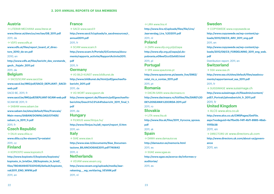2011, nl

# **Austria**

 $\rightarrow$  LITERAR-MECHANA www.literar.at **www.literar.at/dwn/uu/ver/tae/GB\_2011.pdf** 2011, de  $\rightarrow$  VDFS www.vdfs.at www.vdfs.at/files/report\_board\_of\_direc**tors\_2010\_de-en.pdf** 2010, en **http://www.vdfs.at/files/bericht\_des\_vorstands\_ gech\_\_ftsjahr\_2011.pd** 2011, de **Belgium**  $\rightarrow$  SACD/SCAM www.sacd.be www.sacd.be/IMG/pdf/SACD\_DEPLIANT-\_SACD**web.pdf** SACD BE, 2011, fr **www.sacd.be/IMG/pdf/DEPLIANT-SCAM-web.pdf** SCAM BE 2011, fr  $\rightarrow$  SABAM www.sabam.be **www.sabam.be/sites/default/files/Francais/ Main-menu/SABAM/DOWNLOAD/OTHER/ sabam\_ra\_2011\_fr.pdf** 2011, fr **Czech Republic**  $\rightarrow$  DILIA www.dilia.cz **www.dilia.cz/ke-stazeni/?p=ostatni** 2011, cz **Finland**  $\rightarrow$  KOPIOSTO www.kopiosto.fi **http://www.kopiosto.fi/kopiosto/kopiosto/ kopiosto\_in\_brief/en\_GB/kopiosto\_in\_brief/\_ files/78046494573331045/default/kopiosto\_**

# **France**  $\rightarrow$  SACD www.sacd.fr **http://www.sacd.fr/uploads/tx\_sacdresources/r\_ annuel2011.pdf** 2011, fr  $\rightarrow$  SCAM www.scam.fr **http://www.scam.fr/Portals/0/Contenus/documents/rapports\_activite/RapportActivite2011. pdf** 2011, fr **Germany**  $\rightarrow$  VG BILD-KLINST www.bildkunst.de **http://www.bildkunst.de/html/pdf/geschaeftsbericht\_2011.pdf** 2011, de  $\rightarrow$  VG WORT www.vgwort.de **http://www.vgwort.de/fileamin/pdf/geschaeftsberichte/Gesch%C3%A4ftsbericht\_2011\_final\_1. pdf** 2011, de **Hungary**  $\rightarrow$  FILMJUS www.filmius.hu/ **http://www.filmjus.hu/a6\_report/report\_0.htm** 2011, en **Italy**  $\rightarrow$  SIAE www.siae.it **http://www.siae.it/documents/Siae\_Documentazione\_BILANCIOSIAE2011.pdf?740642** 2011, it **Netherlands**  $\rightarrow$  VEVAM www.vevam.org **http://www.vevam.org/uploads/media/Jaarrekening\_\_\_wg\_verklaring\_VEVAM.pdf**

 $\rightarrow$  LIRA www.lira.nl **http://www.lira.nl/uploads/files/file/LIra/ Jaarverslag\_Lira\_%202011.pdf** 2011, nl **Poland**  $\rightarrow$  ZAPA www.sfp.org.pl/pl/zapa **http://www.sfp.org.pl/zapa/pl,dopobrania,e09eef2cc02efd0.html** 2011, pl **Portugal**  $\rightarrow$  SPA www.spautores.pt **http://www.spautores.pt/assets\_live/5962/ relat\_rio\_e\_contas\_2011.pdf** 2011, pt **Romania** → DACIN-SARA www.dacinsara.ro **http://www.dacinsara.ro/fckfiles/file/DARE%20 DE%20SEAMA%20ORDA-2011.pd**f 2011, ro **Slovakia**  $\rightarrow$  LITA www.lita.sk **http://www.lita.sk/files/2011\_Vyrocna\_sprava. pdf** 2011, sk **Spain**  $\rightarrow$  DAMA www.damautor.es **http://damautor.es/memoria.html** 2011, es  $\rightarrow$  SGAE www.sgae.es **http://www.sgae.es/acerca-de/informes-yauditorias/** 2011, es

# **Sweden**

 $\rightarrow$  COPYSWEDE www.copyswede.se **http://www.copyswede.se/wp-content/uploads/2012/08/CS\_ARV\_2011\_eng.pdf** 2011, en **http://www.copyswede.se/wp-content/uploads/2012/08/CS\_FORDELNING\_2011\_eng\_web. pdf** Distribution report, 2011, en **Switzerland**  $\rightarrow$  SSA www.ssa.ch **http://www.ssa.ch/sites/default/files/ssadocuments/rapportannuel\_ssa\_2011.pdf** 2011, fr  $\rightarrow$  SUISSIMAGE www.suissimage.ch **http://www.suissimage.ch/fileadmin/content/ pdf/1\_Portrait/jahresbericht\_fr\_2011.pdf** 2011, fr **United Kingdom**  $\rightarrow$  ALCS www.alcs.co.uk **http://www.alcs.co.uk/CMSPages/GetFile. aspx?nodeguid=4a7fbe0b-f4ff-4bf1-8985-48ab-111f5b38** 2011, en → DIRECTORS UK www.directors.uk.com **http://www.directors.uk.com/about-us/governance** 2011, en

2011, en

**vsk2011\_ENG\_WWW.pdf**